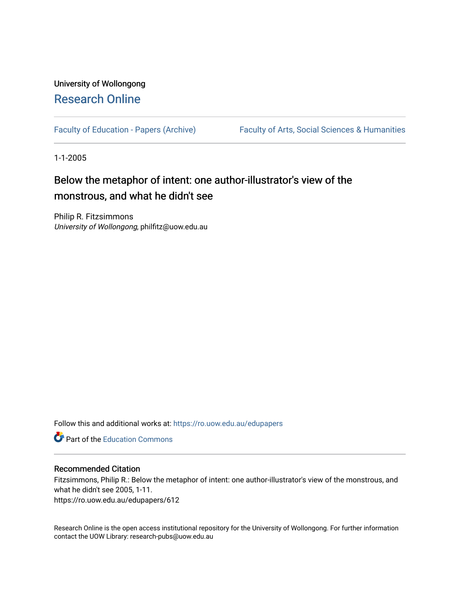# University of Wollongong [Research Online](https://ro.uow.edu.au/)

[Faculty of Education - Papers \(Archive\)](https://ro.uow.edu.au/edupapers) Faculty of Arts, Social Sciences & Humanities

1-1-2005

# Below the metaphor of intent: one author-illustrator's view of the monstrous, and what he didn't see

Philip R. Fitzsimmons University of Wollongong, philfitz@uow.edu.au

Follow this and additional works at: [https://ro.uow.edu.au/edupapers](https://ro.uow.edu.au/edupapers?utm_source=ro.uow.edu.au%2Fedupapers%2F612&utm_medium=PDF&utm_campaign=PDFCoverPages) 

**C** Part of the [Education Commons](http://network.bepress.com/hgg/discipline/784?utm_source=ro.uow.edu.au%2Fedupapers%2F612&utm_medium=PDF&utm_campaign=PDFCoverPages)

# Recommended Citation

Fitzsimmons, Philip R.: Below the metaphor of intent: one author-illustrator's view of the monstrous, and what he didn't see 2005, 1-11. https://ro.uow.edu.au/edupapers/612

Research Online is the open access institutional repository for the University of Wollongong. For further information contact the UOW Library: research-pubs@uow.edu.au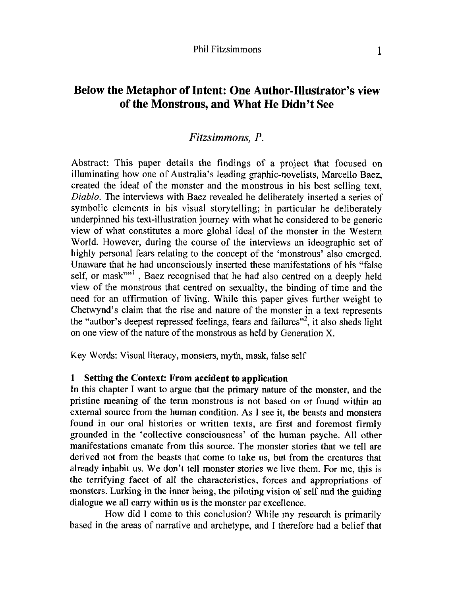# **Below the Metaphor of Intent: One Author-Illustrator's view of the Monstrous, and What He Didn't See**

# *Fitzsimmons, P.*

Abstract: This paper details the findings of a project that focused on illuminating how one of Australia's leading graphic-novelists, Marcello Baez, created the ideal of the monster and the monstrous in his best selling text, *Diablo.* The interviews with Baez revealed he deliberately inserted a series of symbolic elements in his visual storytelling; in particular he deliberately underpinned his text-illustration journey with what he considered to be generic view of what constitutes a more global ideal of the monster in the Western World. However, during the course of the interviews an ideographic set of highly personal fears relating to the concept of the 'monstrous' also emerged. Unaware that he had unconsciously inserted these manifestations of his "false self, or mask""<sup>1</sup>. Baez recognised that he had also centred on a deeply held view of the monstrous that centred on sexuality, the binding of time and the need for an affirmation of living. While this paper gives further weight to Chetwynd's claim that the rise and nature of the monster in a text represents the "author's deepest repressed feelings, fears and failures"<sup>2</sup>, it also sheds light on one view of the nature of the monstrous as held by Generation X.

Key Words: Visual literacy, monsters, myth, mask, false self

#### **1 Setting the Context: From accident to application**

In this chapter I want to argue that the primary nature of the monster, and the pristine meaning of the term monstrous is not based on or found within an external source from the human condition. As I see it, the beasts and monsters found in our oral histories or written texts, are first and foremost firmly grounded in the 'collective consciousness' of the human psyche. All other manifestations emanate from this source. The monster stories that we tell are derived not from the beasts that come to take us, but from the creatures that already inhabit us. We don't tell monster stories we live them. For me, this is the terrifying facet of all the characteristics, forces and appropriations of monsters. Lurking in the inner being, the piloting vision of self and the guiding dialogue we all carry within us is the monster par excellence.

How did I come to this conclusion? While my research is primarily based in the areas of narrative and archetype, and I therefore had a belief that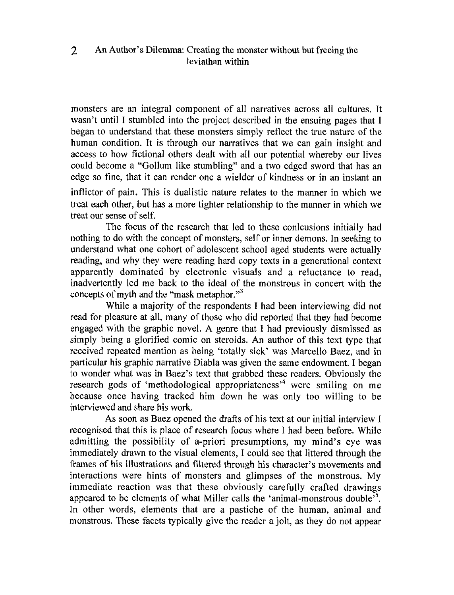monsters are an integral component of all narratives across all cultures. It wasn't until I stumbled into the project described in the ensuing pages that I began to understand that these monsters simply reflect the true nature of the human condition. It is through our narratives that we can gain insight and access to how fictional others dealt with all our potential whereby our lives could become a "Gollum like stumbling" and a two edged sword that has an edge so fine, that it can render one a wielder of kindness or in an instant an inflictor of pain. This is dualistic nature relates to the manner in which we treat each other, but has a more tighter relationship to the manner in which we treat our sense of self.

The focus of the research that led to these conlcusions initially had nothing to do with the concept of monsters, self or inner demons. In seeking to understand what one cohort of adolescent school aged students were actually reading, and why they were reading hard copy texts in a generational context apparently dominated by electronic visuals and a reluctance to read, inadvertently led me back to the ideal of the monstrous in concert with the concepts of myth and the "mask metaphor."<sup>3</sup>

While a majority of the respondents I had been interviewing did not read for pleasure at all, many of those who did reported that they had become engaged with the graphic novel. A genre that I had previously dismissed as simply being a glorified comic on steroids. An author of this text type that received repeated mention as being 'totally sick' was Marcello Baez, and in particular his graphic narrative Diabla was given the same endowment. I began to wonder what was in Baez's text that grabbed these readers. Obviously the research gods of 'methodological appropriateness'<sup>4</sup> were smiling on me because once having tracked him down he was only too willing to be interviewed and share his work.

As soon as Baez opened the drafts of his text at our initial interview I recognised that this is place of research focus where I had been before. While admitting the possibility of a-priori presumptions, my mind's eye was immediately drawn to the visual elements, I could see that littered through the frames of his illustrations and filtered through his character's movements and interactions were hints of monsters and glimpses of the monstrous. My immediate reaction was that these obviously carefully crafted drawings appeared to be elements of what Miller calls the 'animal-monstrous double'. In other words, elements that are a pastiche of the human, animal and monstrous. These facets typically give the reader a jolt, as they do not appear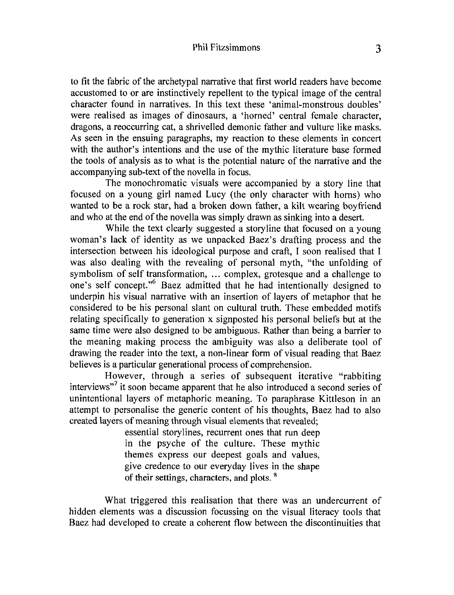#### **Phil Fitzsimmons 3**

to fit the fabric of the archetypal narrative that first world readers have become accustomed to or are instinctively repellent to the typical image of the central character found in narratives. In this text these 'animal-monstrous doubles' were realised as images of dinosaurs, a 'horned' central female character, dragons, a reoccurring cat, a shrivelled demonic father and vulture like masks. As seen in the ensuing paragraphs, my reaction to these elements in concert with the author's intentions and the use of the mythic literature base formed the tools of analysis as to what is the potential nature of the narrative and the accompanying sub-text of the novella in focus.

The monochromatic visuals were accompanied by a story line that focused on a young girl named Lucy (the only character with horns) who wanted to be a rock star, had a broken down father, a kilt wearing boyfriend and who at the end of the novella was simply drawn as sinking into a desert.

While the text clearly suggested a storyline that focused on a young woman's lack of identity as we unpacked Baez's drafting process and the intersection between his ideological purpose and craft, I soon realised that I was also dealing with the revealing of personal myth, "the unfolding of symbolism of self transformation, ... complex, grotesque and a challenge to one's self concept."6 Baez admitted that he had intentionally designed to underpin his visual narrative with an insertion of layers of metaphor that he considered to be his personal slant on cultural truth. These embedded motifs relating specifically to generation x signposted his personal beliefs but at the same time were also designed to be ambiguous. Rather than being a barrier to the meaning making process the ambiguity was also a deliberate tool of drawing the reader into the text, a non-linear form of visual reading that Baez believes is a particular generational process of comprehension.

However, through a series of subsequent iterative "rabbiting interviews"7 it soon became apparent that he also introduced a second series of unintentional layers of metaphoric meaning. To paraphrase Kittleson in an attempt to personalise the generic content of his thoughts. Baez had to also created layers of meaning through visual elements that revealed;

> essential storylines, recurrent ones that run deep in the psyche of the culture. These mythic themes express our deepest goals and values, give credence to our everyday lives in the shape of their settings, characters, and plots. 8

What triggered this realisation that there was an undercurrent of hidden elements was a discussion focussing on the visual literacy tools that Baez had developed to create a coherent flow between the discontinuities that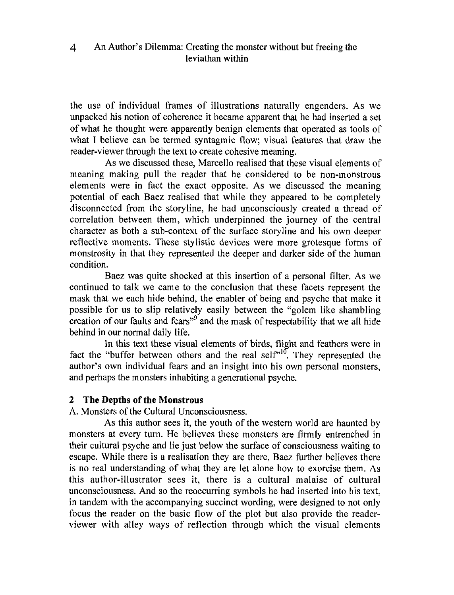the use of individual frames of illustrations naturally engenders. As we unpacked his notion of coherence it became apparent that he had inserted a set of what he thought were apparently benign elements that operated as tools of what I believe can be termed syntagmic flow; visual features that draw the reader-viewer through the text to create cohesive meaning.

As we discussed these, Marcello realised that these visual elements of meaning making pull the reader that he considered to be non-monstrous elements were in fact the exact opposite. As we discussed the meaning potential of each Baez realised that while they appeared to be completely disconnected from the storyline, he had unconsciously created a thread of correlation between them, which underpinned the journey of the central character as both a sub-context of the surface storyline and his own deeper reflective moments. These stylistic devices were more grotesque forms of monstrosity in that they represented the deeper and darker side of the human condition.

Baez was quite shocked at this insertion of a personal filter. As we continued to talk we came to the conclusion that these facets represent the mask that we each hide behind, the enabler of being and psyche that make it possible for us to slip relatively easily between the "golem like shambling creation of our faults and fears"<sup>9</sup> and the mask of respectability that we all hide behind in our normal daily life.

In this text these visual elements of birds, flight and feathers were in fact the "buffer between others and the real self" $10^{10}$ . They represented the author's own individual fears and an insight into his own personal monsters, and perhaps the monsters inhabiting a generational psyche.

#### **2 The Depths of the Monstrous**

A. Monsters of the Cultural Unconsciousness.

As this author sees it, the youth of the western world are haunted by monsters at every turn. He believes these monsters are firmly entrenched in their cultural psyche and lie just below the surface of consciousness waiting to escape. While there is a realisation they are there, Baez further believes there is no real understanding of what they are let alone how to exorcise them. As this author-illustrator sees it, there is a cultural malaise of cultural unconsciousness. And so the reoccurring symbols he had inserted into his text, in tandem with the accompanying succinct wording, were designed to not only focus the reader on the basic flow of the plot but also provide the readerviewer with alley ways of reflection through which the visual elements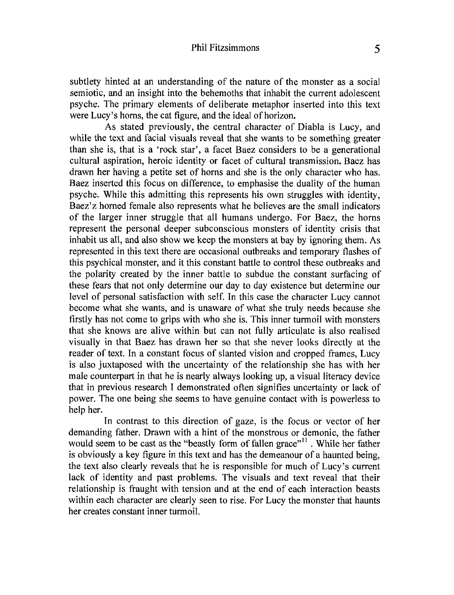subtlety hinted at an understanding of the nature of the monster as a social semiotic, and an insight into the behemoths that inhabit the current adolescent psyche. The primary elements of deliberate metaphor inserted into this text were Lucy's horns, the cat figure, and the ideal of horizon.

As stated previously, the central character of Diabla is Lucy, and while the text and facial visuals reveal that she wants to be something greater than she is, that is a 'rock star', a facet Baez considers to be a generational cultural aspiration, heroic identity or facet of cultural transmission. Baez has drawn her having a petite set of horns and she is the only character who has. Baez inserted this focus on difference, to emphasise the duality of the human psyche. While this admitting this represents his own struggles with identity, Baez'z homed female also represents what he believes are the small indicators o f the larger inner struggle that all humans undergo. For Baez, the horns represent the personal deeper subconscious monsters of identity crisis that inhabit us all, and also show we keep the monsters at bay by ignoring them. As represented in this text there are occasional outbreaks and temporary flashes of this psychical monster, and it this constant battle to control these outbreaks and the polarity created by the inner battle to subdue the constant surfacing of these fears that not only determine our day to day existence but determine our level of personal satisfaction with self. In this case the character Lucy cannot become what she wants, and is unaware of what she truly needs because she firstly has not come to grips with who she is. This inner turmoil with monsters that she knows are alive within but can not fully articulate is also realised visually in that Baez has drawn her so that she never looks directly at the reader of text. In a constant focus of slanted vision and cropped frames, Lucy is also juxtaposed with the uncertainty of the relationship she has with her male counterpart in that he is nearly always looking up, a visual literacy device that in previous research I demonstrated often signifies uncertainty or lack of power. The one being she seems to have genuine contact with is powerless to help her.

In contrast to this direction of gaze, is the focus or vector of her demanding father. Drawn with a hint of the monstrous or demonic, the father would seem to be cast as the "beastly form of fallen grace"<sup>11</sup>. While her father is obviously a key figure in this text and has the demeanour of a haunted being, the text also clearly reveals that he is responsible for much of Lucy's current lack of identity and past problems. The visuals and text reveal that their relationship is fraught with tension and at the end of each interaction beasts within each character are clearly seen to rise. For Lucy the monster that haunts her creates constant inner turmoil.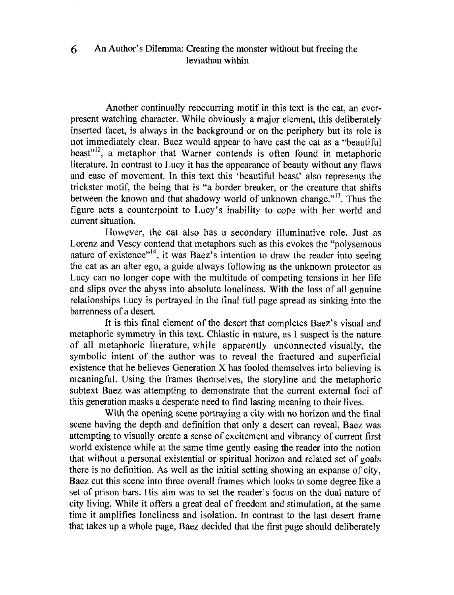Another continually reoccurring motif in this text is the cat, an everpresent watching character. While obviously a major element, this deliberately inserted facet, is always in the background or on the periphery but its role is not immediately clear. Baez would appear to have cast the cat as a "beautiful beast"<sup>12</sup>, a metaphor that Warner contends is often found in metaphoric literature. In contrast to Lucy it has the appearance of beauty without any flaws and ease of movement. In this text this 'beautiful beast' also represents the trickster motif, the being that is "a border breaker, or the creature that shifts between the known and that shadowy world of unknown change."13. Thus the figure acts a counterpoint to Lucy's inability to cope with her world and current situation.

However, the cat also has a secondary illuminative role. Just as Lorenz and Vescy contend that metaphors such as this evokes the "polysemous nature of existence"<sup>14</sup>, it was Baez's intention to draw the reader into seeing the cat as an alter ego, a guide always following as the unknown protector as Lucy can no longer cope with the multitude of competing tensions in her life and slips over the abyss into absolute loneliness. With the loss of all genuine relationships Lucy is portrayed in the final full page spread as sinking into the barrenness of a desert.

It is this final element of the desert that completes Baez's visual and metaphoric symmetry in this text. Chiastic in nature, as I suspect is the nature of all metaphoric literature, while apparently unconnected visually, the symbolic intent of the author was to reveal the fractured and superficial existence that he believes Generation X has fooled themselves into believing is meaningful. Using the frames themselves, the storyline and the metaphoric subtext Baez was attempting to demonstrate that the current external foci of this generation masks a desperate need to find lasting meaning to their lives.

With the opening scene portraying a city with no horizon and the final scene having the depth and definition that only a desert can reveal, Baez was attempting to visually create a sense of excitement and vibrancy of current first world existence while at the same time gently easing the reader into the notion that without a personal existential or spiritual horizon and related set of goals there is no definition. As well as the initial setting showing an expanse of city, Baez cut this scene into three overall frames which looks to some degree like a set of prison bars. His aim was to set the reader's focus on the dual nature of city living. While it offers a great deal of freedom and stimulation, at the same time it amplifies loneliness and isolation. In contrast to the last desert frame that takes up a whole page, Baez decided that the first page should deliberately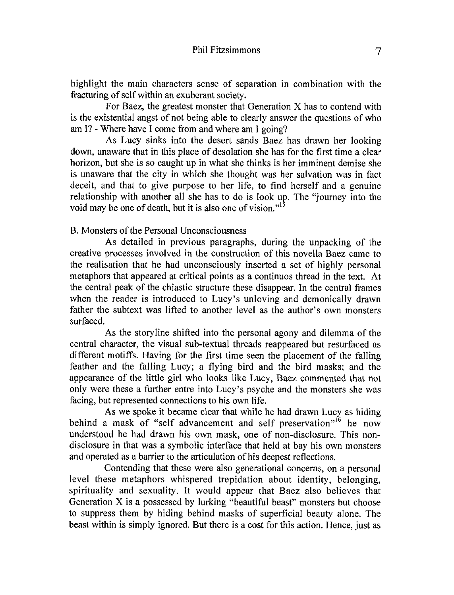highlight the main characters sense of separation in combination with the fracturing of self within an exuberant society.

For Baez, the greatest monster that Generation X has to contend with is the existential angst of not being able to clearly answer the questions of who am I? - Where have I come from and where am 1 going?

As Lucy sinks into the desert sands Baez has drawn her looking down, unaware that in this place of desolation she has for the first time a clear horizon, but she is so caught up in what she thinks is her imminent demise she is unaware that the city in which she thought was her salvation was in fact deceit, and that to give purpose to her life, to find herself and a genuine relationship with another all she has to do is look up. The "journey into the void may be one of death, but it is also one of vision."<sup>15</sup>

#### B. Monsters of the Personal Unconsciousness

As detailed in previous paragraphs, during the unpacking of the creative processes involved in the construction of this novella Baez came to the realisation that he had unconsciously inserted a set of highly personal metaphors that appeared at critical points as a continuos thread in the text. At the central peak of the chiastic structure these disappear. In the central frames when the reader is introduced to Lucy's unloving and demonically drawn father the subtext was lifted to another level as the author's own monsters surfaced.

As the storyline shifted into the personal agony and dilemma of the central character, the visual sub-textual threads reappeared but resurfaced as different motiffs. Having for the first time seen the placement of the falling feather and the falling Lucy; a flying bird and the bird masks; and the appearance of the little girl who looks like Lucy, Baez commented that not only were these a further entre into Lucy's psyche and the monsters she was facing, but represented connections to his own life.

As we spoke it became clear that while he had drawn Lucy as hiding behind a mask of "self advancement and self preservation"<sup>16</sup> he now understood he had drawn his own mask, one of non-disclosure. This nondisclosure in that was a symbolic interface that held at bay his own monsters and operated as a barrier to the articulation of his deepest reflections.

Contending that these were also generational concerns, on a personal level these metaphors whispered trepidation about identity, belonging, spirituality and sexuality. It would appear that Baez also believes that Generation X is a possessed by lurking "beautiful beast" monsters but choose to suppress them by hiding behind masks of superficial beauty alone. The beast within is simply ignored. But there is a cost for this action. Hence, just as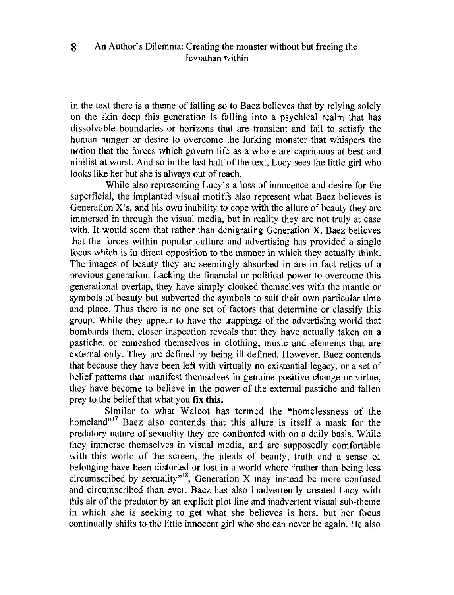in the text there is a theme of falling so to Baez believes that by relying solely on the skin deep this generation is falling into a psychical realm that has dissolvable boundaries or horizons that are transient and fail to satisfy the human hunger or desire to overcome the lurking monster that whispers the notion that the forces which govern life as a whole are capricious at best and nihilist at worst. And so in the last half of the text, Lucy sees the little girl who looks like her but she is always out of reach.

While also representing Lucy's a loss of innocence and desire for the superficial, the implanted visual motiffs also represent what Baez believes is Generation X's, and his own inability to cope with the allure of beauty they are immersed in through the visual media, but in reality they are not truly at ease with. It would seem that rather than denigrating Generation X, Baez believes that the forces within popular culture and advertising has provided a single focus which is in direct opposition to the manner in which they actually think. The images of beauty they are seemingly absorbed in are in fact relics of a previous generation. Lacking the financial or political power to overcome this generational overlap, they have simply cloaked themselves with the mantle or symbols of beauty but subverted the symbols to suit their own particular time and place. Thus there is no one set of factors that determine or classify this group. While they appear to have the trappings of the advertising world that bombards them, closer inspection reveals that they have actually taken on a pastiche, or enmeshed themselves in clothing, music and elements that are external only. They are defined by being ill defined. However, Baez contends that because they have been left with virtually no existential legacy, or a set of belief patterns that manifest themselves in genuine positive change or virtue, they have become to believe in the power of the external pastiche and fallen prey to the belief that what you **fix this.**

Similar to what Walcot has termed the "homelessness of the homeland"<sup>17</sup> Baez also contends that this allure is itself a mask for the predatory nature of sexuality they are confronted with on a daily basis. While they immerse themselves in visual media, and are supposedly comfortable with this world of the screen, the ideals of beauty, truth and a sense of belonging have been distorted or lost in a world where "rather than being less circumscribed by sexuality"18, Generation X may instead be more confused and circumscribed than ever. Baez has also inadvertently created Lucy with this air of the predator by an explicit plot line and inadvertent visual sub-theme in which she is seeking to get what she believes is hers, but her focus continually shifts to the little innocent girl who she can never be again. He also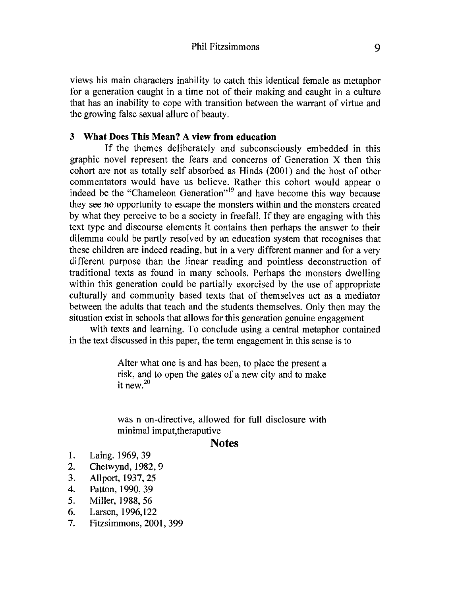views his main characters inability to catch this identical female as metaphor for a generation caught in a time not of their making and caught in a culture that has an inability to cope with transition between the warrant of virtue and the growing false sexual allure of beauty.

# 3 **What Does This Mean?** A **view from education**

If the themes deliberately and subconsciously embedded in this graphic novel represent the fears and concerns of Generation  $X$  then this cohort are not as totally self absorbed as Hinds (2001) and the host of other commentators would have us believe. Rather this cohort would appear o indeed be the "Chameleon Generation"19 and have become this way because they see no opportunity to escape the monsters within and the monsters created by what they perceive to be a society in freefall. If they are engaging with this text type and discourse elements it contains then perhaps the answer to their dilemma could be partly resolved by an education system that recognises that these children are indeed reading, but in a very different manner and for a very different purpose than the linear reading and pointless deconstruction of traditional texts as found in many schools. Perhaps the monsters dwelling within this generation could be partially exorcised by the use of appropriate culturally and community based texts that of themselves act as a mediator between the adults that teach and the students themselves. Only then may the situation exist in schools that allows for this generation genuine engagement

with texts and learning. To conclude using a central metaphor contained in the text discussed in this paper, the term engagement in this sense is to

> Alter what one is and has been, to place the present a risk, and to open the gates of a new city and to make it new  $^{20}$

> was n on-directive, allowed for full disclosure with minimal imput,theraputive

# **Notes**

- <sup>1</sup>**.** Laing. 1969, 39
- 2. Chetwynd, 1982, 9
- 3. Allport, 1937, 25
- 4. Patton, 1990, 39
- 5. Miller, 1988, 56
- 6. Larsen, 1996, 122<br>7. Fitzsimmons. 200
- 7. Fitzsimmons, 2001, 399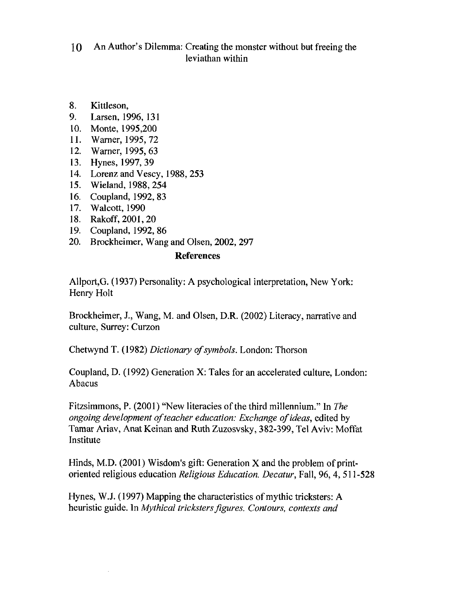- 8. Kittleson,
- 9. Larsen, 1996, 131
- 10. Monte, 1995,200
- 11. Warner, 1995, 72
- 12. Warner, 1995,63
- 13. Hynes, 1997, 39
- 14. Lorenz and Vescy, 1988, 253
- 15. Wieland, 1988,254
- 16. Coupland, 1992, 83
- 17. Walcott, 1990
- 18. Rakoff, 2001, 20
- 19. Coupland, 1992, 86
- 20. Brockheimer, Wang and Olsen, 2002, 297

#### **References**

Allport,G. (1937) Personality: A psychological interpretation, New York: Henry Holt

Brockheimer, J., Wang, M. and Olsen, D.R. (2002) Literacy, narrative and culture, Surrey: Curzon

Chetwynd T. (1982) *Dictionary of symbols*, London: Thorson

Coupland, D. (1992) Generation X: Tales for an accelerated culture, London: Abacus

Fitzsimmons, P. (2001) "New literacies of the third millennium." In *The ongoing development of teacher education: Exchange of ideas, edited by* Tamar Ariav, Anat Keinan and Ruth Zuzosvsky, 382-399, Tel Aviv: Moffat Institute

Hinds, M.D. (2001) Wisdom's gift: Generation X and the problem of printoriented religious education *Religious Education. Decatur,* Fall, 96, 4, 511-528

Hynes, W.J. (1997) Mapping the characteristics of mythic tricksters: A heuristic guide. In *Mythical tricksters figures. Contours, contexts and*